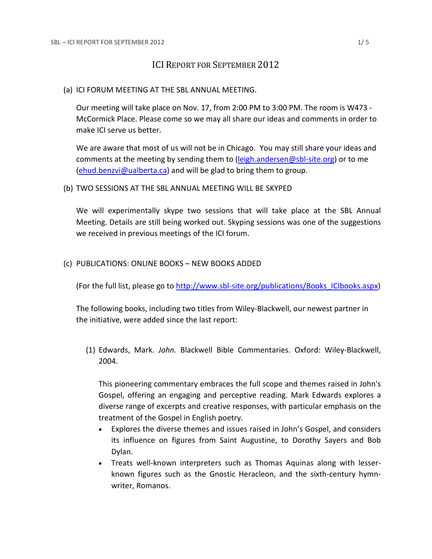## ICI REPORT FOR SEPTEMBER 2012

(a) ICI FORUM MEETING AT THE SBL ANNUAL MEETING.

Our meeting will take place on Nov. 17, from 2:00 PM to 3:00 PM. The room is W473 - McCormick Place. Please come so we may all share our ideas and comments in order to make ICI serve us better.

We are aware that most of us will not be in Chicago. You may still share your ideas and comments at the meeting by sending them to [\(leigh.andersen@sbl-site.org\)](mailto:leigh.andersen@sbl-site.org) or to me [\(ehud.benzvi@ualberta.ca\)](mailto:ehud.benzvi@ualberta.ca) and will be glad to bring them to group.

(b) TWO SESSIONS AT THE SBL ANNUAL MEETING WILL BE SKYPED

We will experimentally skype two sessions that will take place at the SBL Annual Meeting. Details are still being worked out. Skyping sessions was one of the suggestions we received in previous meetings of the ICI forum.

(c) PUBLICATIONS: ONLINE BOOKS – NEW BOOKS ADDED

(For the full list, please go to [http://www.sbl-site.org/publications/Books\\_ICIbooks.aspx\)](http://www.sbl-site.org/publications/Books_ICIbooks.aspx)

The following books, including two titles from Wiley-Blackwell, our newest partner in the initiative, were added since the last report:

(1) Edwards, Mark. *John.* Blackwell Bible Commentaries. Oxford: Wiley-Blackwell, 2004.

This pioneering commentary embraces the full scope and themes raised in John's Gospel, offering an engaging and perceptive reading. Mark Edwards explores a diverse range of excerpts and creative responses, with particular emphasis on the treatment of the Gospel in English poetry.

- Explores the diverse themes and issues raised in John's Gospel, and considers its influence on figures from Saint Augustine, to Dorothy Sayers and Bob Dylan.
- Treats well-known interpreters such as Thomas Aquinas along with lesserknown figures such as the Gnostic Heracleon, and the sixth-century hymnwriter, Romanos.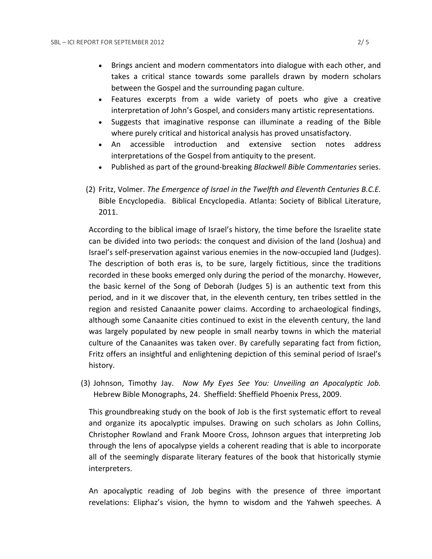- Brings ancient and modern commentators into dialogue with each other, and takes a critical stance towards some parallels drawn by modern scholars between the Gospel and the surrounding pagan culture.
- Features excerpts from a wide variety of poets who give a creative interpretation of John's Gospel, and considers many artistic representations.
- Suggests that imaginative response can illuminate a reading of the Bible where purely critical and historical analysis has proved unsatisfactory.
- An accessible introduction and extensive section notes address interpretations of the Gospel from antiquity to the present.
- Published as part of the ground-breaking *Blackwell Bible Commentaries* series.
- (2) Fritz, Volmer. *The Emergence of Israel in the Twelfth and Eleventh Centuries B.C.E.* Bible Encyclopedia. Biblical Encyclopedia. Atlanta: Society of Biblical Literature, 2011.

According to the biblical image of Israel's history, the time before the Israelite state can be divided into two periods: the conquest and division of the land (Joshua) and Israel's self-preservation against various enemies in the now-occupied land (Judges). The description of both eras is, to be sure, largely fictitious, since the traditions recorded in these books emerged only during the period of the monarchy. However, the basic kernel of the Song of Deborah (Judges 5) is an authentic text from this period, and in it we discover that, in the eleventh century, ten tribes settled in the region and resisted Canaanite power claims. According to archaeological findings, although some Canaanite cities continued to exist in the eleventh century, the land was largely populated by new people in small nearby towns in which the material culture of the Canaanites was taken over. By carefully separating fact from fiction, Fritz offers an insightful and enlightening depiction of this seminal period of Israel's history.

(3) Johnson, Timothy Jay. *Now My Eyes See You: Unveiling an Apocalyptic Job.*  Hebrew Bible Monographs, 24. Sheffield: Sheffield Phoenix Press, 2009.

This groundbreaking study on the book of Job is the first systematic effort to reveal and organize its apocalyptic impulses. Drawing on such scholars as John Collins, Christopher Rowland and Frank Moore Cross, Johnson argues that interpreting Job through the lens of apocalypse yields a coherent reading that is able to incorporate all of the seemingly disparate literary features of the book that historically stymie interpreters.

An apocalyptic reading of Job begins with the presence of three important revelations: Eliphaz's vision, the hymn to wisdom and the Yahweh speeches. A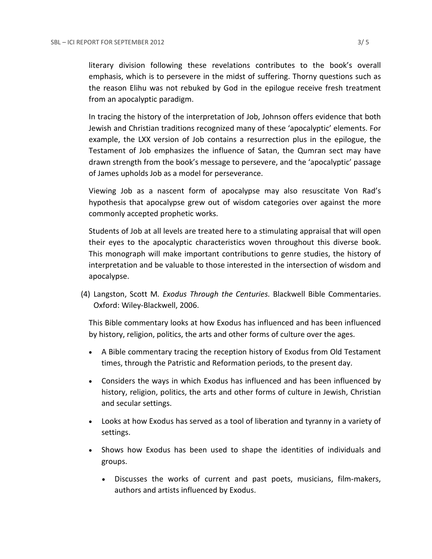literary division following these revelations contributes to the book's overall emphasis, which is to persevere in the midst of suffering. Thorny questions such as the reason Elihu was not rebuked by God in the epilogue receive fresh treatment from an apocalyptic paradigm.

In tracing the history of the interpretation of Job, Johnson offers evidence that both Jewish and Christian traditions recognized many of these 'apocalyptic' elements. For example, the LXX version of Job contains a resurrection plus in the epilogue, the Testament of Job emphasizes the influence of Satan, the Qumran sect may have drawn strength from the book's message to persevere, and the 'apocalyptic' passage of James upholds Job as a model for perseverance.

Viewing Job as a nascent form of apocalypse may also resuscitate Von Rad's hypothesis that apocalypse grew out of wisdom categories over against the more commonly accepted prophetic works.

Students of Job at all levels are treated here to a stimulating appraisal that will open their eyes to the apocalyptic characteristics woven throughout this diverse book. This monograph will make important contributions to genre studies, the history of interpretation and be valuable to those interested in the intersection of wisdom and apocalypse.

(4) Langston, Scott M*. Exodus Through the Centuries.* Blackwell Bible Commentaries. Oxford: Wiley-Blackwell, 2006.

This Bible commentary looks at how Exodus has influenced and has been influenced by history, religion, politics, the arts and other forms of culture over the ages.

- A Bible commentary tracing the reception history of Exodus from Old Testament times, through the Patristic and Reformation periods, to the present day.
- Considers the ways in which Exodus has influenced and has been influenced by history, religion, politics, the arts and other forms of culture in Jewish, Christian and secular settings.
- Looks at how Exodus has served as a tool of liberation and tyranny in a variety of settings.
- Shows how Exodus has been used to shape the identities of individuals and groups.
	- Discusses the works of current and past poets, musicians, film-makers, authors and artists influenced by Exodus.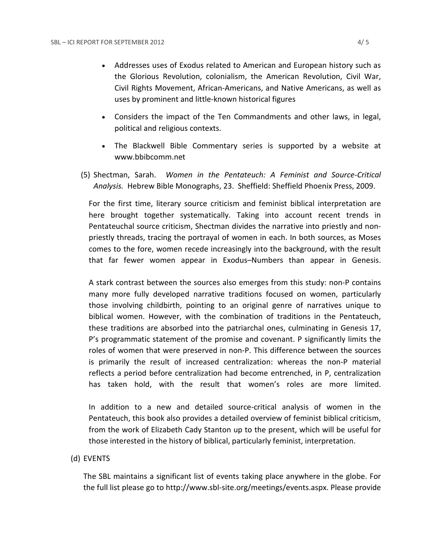- Addresses uses of Exodus related to American and European history such as the Glorious Revolution, colonialism, the American Revolution, Civil War, Civil Rights Movement, African-Americans, and Native Americans, as well as uses by prominent and little-known historical figures
- Considers the impact of the Ten Commandments and other laws, in legal, political and religious contexts.
- The Blackwell Bible Commentary series is supported by a website at www.bbibcomm.net
- (5) Shectman, Sarah. *Women in the Pentateuch: A Feminist and Source-Critical Analysis.* Hebrew Bible Monographs, 23. Sheffield: Sheffield Phoenix Press, 2009.

For the first time, literary source criticism and feminist biblical interpretation are here brought together systematically. Taking into account recent trends in Pentateuchal source criticism, Shectman divides the narrative into priestly and nonpriestly threads, tracing the portrayal of women in each. In both sources, as Moses comes to the fore, women recede increasingly into the background, with the result that far fewer women appear in Exodus–Numbers than appear in Genesis.

A stark contrast between the sources also emerges from this study: non-P contains many more fully developed narrative traditions focused on women, particularly those involving childbirth, pointing to an original genre of narratives unique to biblical women. However, with the combination of traditions in the Pentateuch, these traditions are absorbed into the patriarchal ones, culminating in Genesis 17, P's programmatic statement of the promise and covenant. P significantly limits the roles of women that were preserved in non-P. This difference between the sources is primarily the result of increased centralization: whereas the non-P material reflects a period before centralization had become entrenched, in P, centralization has taken hold, with the result that women's roles are more limited.

In addition to a new and detailed source-critical analysis of women in the Pentateuch, this book also provides a detailed overview of feminist biblical criticism, from the work of Elizabeth Cady Stanton up to the present, which will be useful for those interested in the history of biblical, particularly feminist, interpretation.

## (d) EVENTS

The SBL maintains a significant list of events taking place anywhere in the globe. For the full list please go to [http://www.sbl-site.org/meetings/events.aspx.](http://www.sbl-site.org/meetings/events.aspx) Please provide